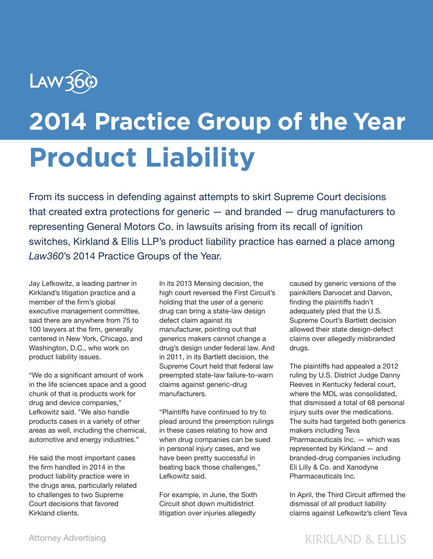

## **2014 Practice Group of the Year Product Liability**

From its success in defending against attempts to skirt Supreme Court decisions that created extra protections for generic — and branded — drug manufacturers to representing General Motors Co. in lawsuits arising from its recall of ignition switches, Kirkland & Ellis LLP's product liability practice has earned a place among *Law360*'s 2014 Practice Groups of the Year.

Jay Lefkowitz, a leading partner in Kirkland's litigation practice and a member of the firm's global executive management committee, said there are anywhere from 75 to 100 lawyers at the firm, generally centered in New York, Chicago, and Washington, D.C., who work on product liability issues.

"We do a significant amount of work in the life sciences space and a good chunk of that is products work for drug and device companies," Lefkowitz said. "We also handle products cases in a variety of other areas as well, including the chemical, automotive and energy industries."

He said the most important cases the firm handled in 2014 in the product liability practice were in the drugs area, particularly related to challenges to two Supreme Court decisions that favored Kirkland clients.

In its 2013 Mensing decision, the high court reversed the First Circuit's holding that the user of a generic drug can bring a state-law design defect claim against its manufacturer, pointing out that generics makers cannot change a drug's design under federal law. And in 2011, in its Bartlett decision, the Supreme Court held that federal law preempted state-law failure-to-warn claims against generic-drug manufacturers.

"Plaintiffs have continued to try to plead around the preemption rulings in these cases relating to how and when drug companies can be sued in personal injury cases, and we have been pretty successful in beating back those challenges," Lefkowitz said.

For example, in June, the Sixth Circuit shot down multidistrict litigation over injuries allegedly

caused by generic versions of the painkillers Darvocet and Darvon, finding the plaintiffs hadn't adequately pled that the U.S. Supreme Court's Bartlett decision allowed their state design-defect claims over allegedly misbranded drugs.

The plaintiffs had appealed a 2012 ruling by U.S. District Judge Danny Reeves in Kentucky federal court, where the MDL was consolidated, that dismissed a total of 68 personal injury suits over the medications. The suits had targeted both generics makers including Teva Pharmaceuticals Inc. — which was represented by Kirkland — and branded-drug companies including Eli Lilly & Co. and Xanodyne Pharmaceuticals Inc.

In April, the Third Circuit affirmed the dismissal of all product liability claims against Lefkowitz's client Teva

## **KIRKLAND & ELLIS**